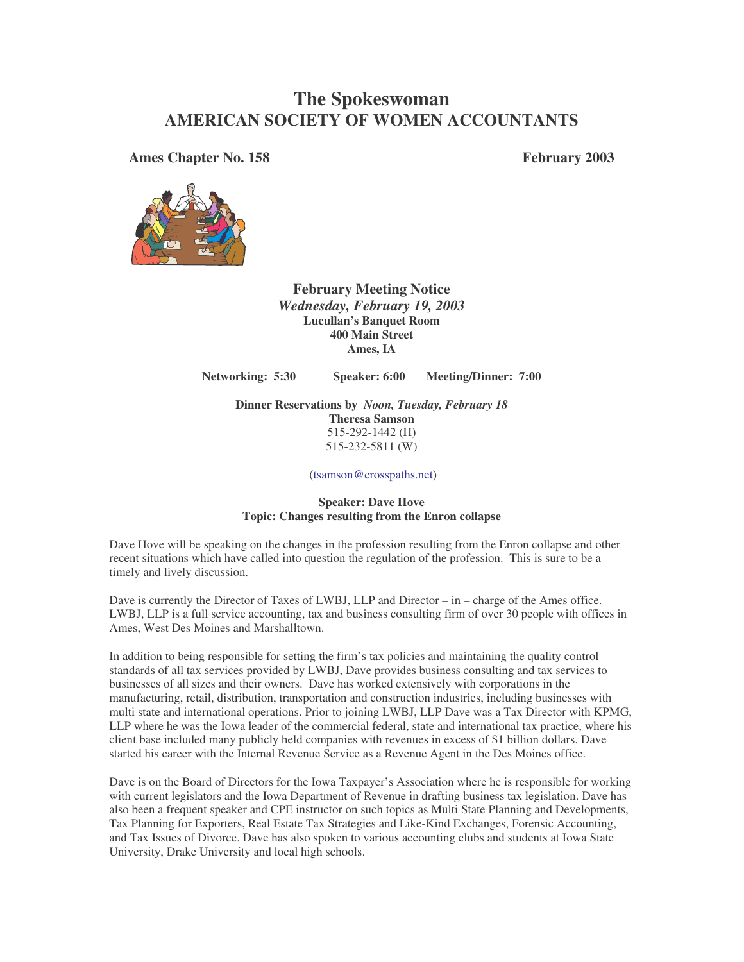# **The Spokeswoman AMERICAN SOCIETY OF WOMEN ACCOUNTANTS**

**Ames Chapter No. 158 February 2003**



**February Meeting Notice** *Wednesday, February 19, 2003* **Lucullan's Banquet Room 400 Main Street Ames, IA**

**Networking: 5:30 Speaker: 6:00 Meeting/Dinner: 7:00**

**Dinner Reservations by** *Noon, Tuesday, February 18* **Theresa Samson** 515-292-1442 (H) 515-232-5811 (W)

(tsamson@crosspaths.net)

### **Speaker: Dave Hove Topic: Changes resulting from the Enron collapse**

Dave Hove will be speaking on the changes in the profession resulting from the Enron collapse and other recent situations which have called into question the regulation of the profession. This is sure to be a timely and lively discussion.

Dave is currently the Director of Taxes of LWBJ, LLP and Director – in – charge of the Ames office. LWBJ, LLP is a full service accounting, tax and business consulting firm of over 30 people with offices in Ames, West Des Moines and Marshalltown.

In addition to being responsible for setting the firm's tax policies and maintaining the quality control standards of all tax services provided by LWBJ, Dave provides business consulting and tax services to businesses of all sizes and their owners. Dave has worked extensively with corporations in the manufacturing, retail, distribution, transportation and construction industries, including businesses with multi state and international operations. Prior to joining LWBJ, LLP Dave was a Tax Director with KPMG, LLP where he was the Iowa leader of the commercial federal, state and international tax practice, where his client base included many publicly held companies with revenues in excess of \$1 billion dollars. Dave started his career with the Internal Revenue Service as a Revenue Agent in the Des Moines office.

Dave is on the Board of Directors for the Iowa Taxpayer's Association where he is responsible for working with current legislators and the Iowa Department of Revenue in drafting business tax legislation. Dave has also been a frequent speaker and CPE instructor on such topics as Multi State Planning and Developments, Tax Planning for Exporters, Real Estate Tax Strategies and Like-Kind Exchanges, Forensic Accounting, and Tax Issues of Divorce. Dave has also spoken to various accounting clubs and students at Iowa State University, Drake University and local high schools.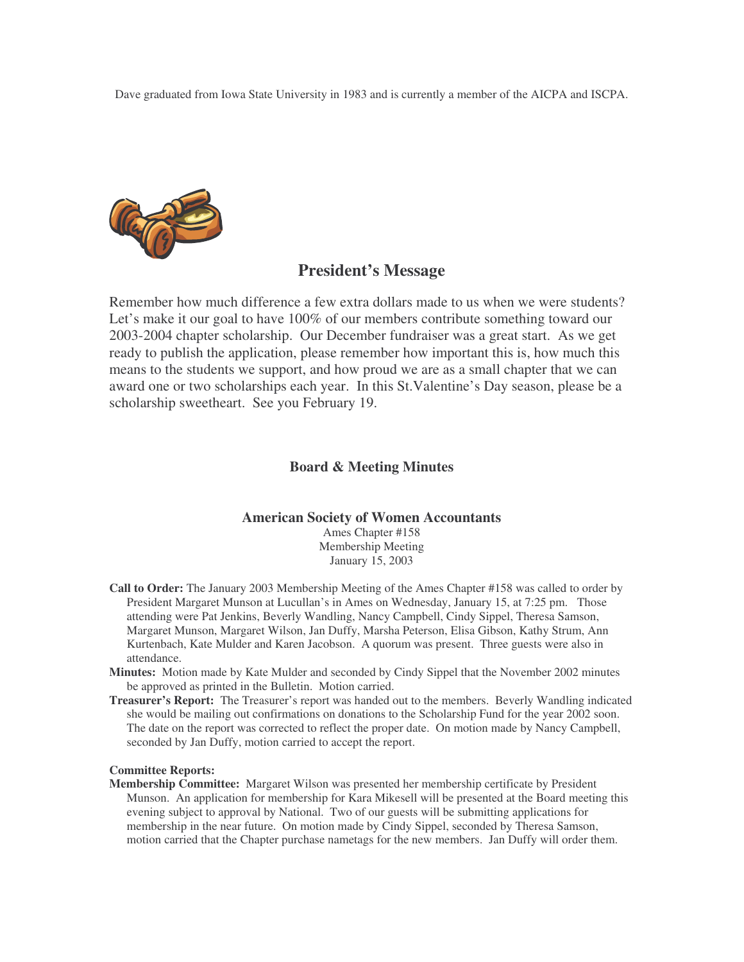Dave graduated from Iowa State University in 1983 and is currently a member of the AICPA and ISCPA.



# **President's Message**

Remember how much difference a few extra dollars made to us when we were students? Let's make it our goal to have 100% of our members contribute something toward our 2003-2004 chapter scholarship. Our December fundraiser was a great start. As we get ready to publish the application, please remember how important this is, how much this means to the students we support, and how proud we are as a small chapter that we can award one or two scholarships each year. In this St.Valentine's Day season, please be a scholarship sweetheart. See you February 19.

## **Board & Meeting Minutes**

## **American Society of Women Accountants**

Ames Chapter #158 Membership Meeting January 15, 2003

- **Call to Order:** The January 2003 Membership Meeting of the Ames Chapter #158 was called to order by President Margaret Munson at Lucullan's in Ames on Wednesday, January 15, at 7:25 pm. Those attending were Pat Jenkins, Beverly Wandling, Nancy Campbell, Cindy Sippel, Theresa Samson, Margaret Munson, Margaret Wilson, Jan Duffy, Marsha Peterson, Elisa Gibson, Kathy Strum, Ann Kurtenbach, Kate Mulder and Karen Jacobson. A quorum was present. Three guests were also in attendance.
- **Minutes:** Motion made by Kate Mulder and seconded by Cindy Sippel that the November 2002 minutes be approved as printed in the Bulletin. Motion carried.
- **Treasurer's Report:** The Treasurer's report was handed out to the members. Beverly Wandling indicated she would be mailing out confirmations on donations to the Scholarship Fund for the year 2002 soon. The date on the report was corrected to reflect the proper date. On motion made by Nancy Campbell, seconded by Jan Duffy, motion carried to accept the report.

#### **Committee Reports:**

**Membership Committee:** Margaret Wilson was presented her membership certificate by President Munson. An application for membership for Kara Mikesell will be presented at the Board meeting this evening subject to approval by National. Two of our guests will be submitting applications for membership in the near future. On motion made by Cindy Sippel, seconded by Theresa Samson, motion carried that the Chapter purchase nametags for the new members. Jan Duffy will order them.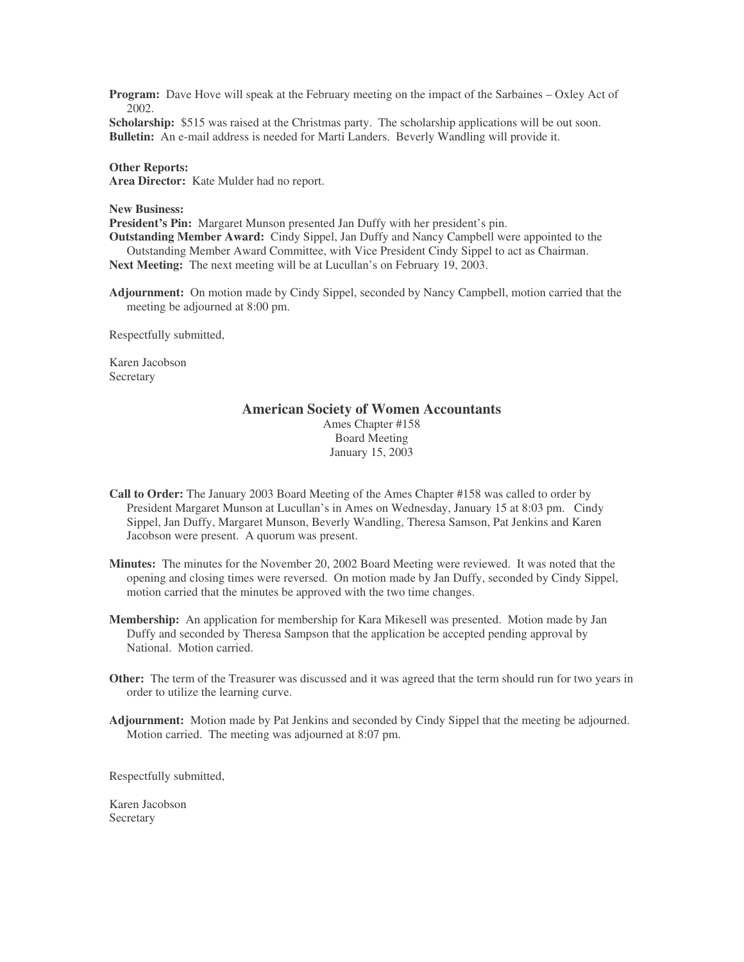**Program:** Dave Hove will speak at the February meeting on the impact of the Sarbaines – Oxley Act of 2002.

**Scholarship:** \$515 was raised at the Christmas party. The scholarship applications will be out soon. **Bulletin:** An e-mail address is needed for Marti Landers. Beverly Wandling will provide it.

#### **Other Reports:**

**Area Director:** Kate Mulder had no report.

#### **New Business:**

**President's Pin:** Margaret Munson presented Jan Duffy with her president's pin.

**Outstanding Member Award:** Cindy Sippel, Jan Duffy and Nancy Campbell were appointed to the Outstanding Member Award Committee, with Vice President Cindy Sippel to act as Chairman.

**Next Meeting:** The next meeting will be at Lucullan's on February 19, 2003.

**Adjournment:** On motion made by Cindy Sippel, seconded by Nancy Campbell, motion carried that the meeting be adjourned at 8:00 pm.

Respectfully submitted,

Karen Jacobson **Secretary** 

## **American Society of Women Accountants**

Ames Chapter #158 Board Meeting January 15, 2003

- **Call to Order:** The January 2003 Board Meeting of the Ames Chapter #158 was called to order by President Margaret Munson at Lucullan's in Ames on Wednesday, January 15 at 8:03 pm. Cindy Sippel, Jan Duffy, Margaret Munson, Beverly Wandling, Theresa Samson, Pat Jenkins and Karen Jacobson were present. A quorum was present.
- **Minutes:** The minutes for the November 20, 2002 Board Meeting were reviewed. It was noted that the opening and closing times were reversed. On motion made by Jan Duffy, seconded by Cindy Sippel, motion carried that the minutes be approved with the two time changes.
- **Membership:** An application for membership for Kara Mikesell was presented. Motion made by Jan Duffy and seconded by Theresa Sampson that the application be accepted pending approval by National. Motion carried.
- **Other:** The term of the Treasurer was discussed and it was agreed that the term should run for two years in order to utilize the learning curve.
- **Adjournment:** Motion made by Pat Jenkins and seconded by Cindy Sippel that the meeting be adjourned. Motion carried. The meeting was adjourned at 8:07 pm.

Respectfully submitted,

Karen Jacobson **Secretary**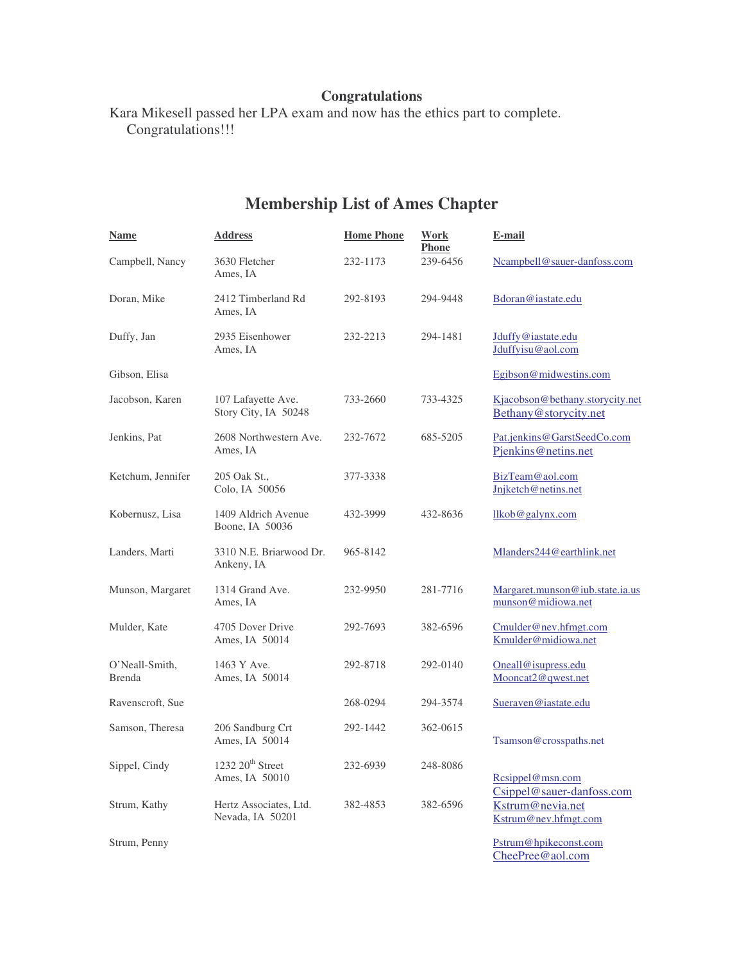# **Congratulations**

Kara Mikesell passed her LPA exam and now has the ethics part to complete. Congratulations!!!

# **Membership List of Ames Chapter**

| Name                            | <b>Address</b>                                   | <b>Home Phone</b> | Work<br><b>Phone</b> | E-mail                                                                |
|---------------------------------|--------------------------------------------------|-------------------|----------------------|-----------------------------------------------------------------------|
| Campbell, Nancy                 | 3630 Fletcher<br>Ames, IA                        | 232-1173          | 239-6456             | Ncampbell@sauer-danfoss.com                                           |
| Doran, Mike                     | 2412 Timberland Rd<br>Ames, IA                   | 292-8193          | 294-9448             | Bdoran@iastate.edu                                                    |
| Duffy, Jan                      | 2935 Eisenhower<br>Ames, IA                      | 232-2213          | 294-1481             | Jduffy@iastate.edu<br>Jduffyisu@aol.com                               |
| Gibson, Elisa                   |                                                  |                   |                      | Egibson@midwestins.com                                                |
| Jacobson, Karen                 | 107 Lafayette Ave.<br>Story City, IA 50248       | 733-2660          | 733-4325             | Kjacobson@bethany.storycity.net<br>Bethany@storycity.net              |
| Jenkins, Pat                    | 2608 Northwestern Ave.<br>Ames, IA               | 232-7672          | 685-5205             | Pat.jenkins@GarstSeedCo.com<br>Pjenkins@netins.net                    |
| Ketchum, Jennifer               | 205 Oak St.,<br>Colo, IA 50056                   | 377-3338          |                      | BizTeam@aol.com<br>Jnjketch@netins.net                                |
| Kobernusz, Lisa                 | 1409 Aldrich Avenue<br>Boone, IA 50036           | 432-3999          | 432-8636             | llkob@galynx.com                                                      |
| Landers, Marti                  | 3310 N.E. Briarwood Dr.<br>Ankeny, IA            | 965-8142          |                      | Mlanders244@earthlink.net                                             |
| Munson, Margaret                | 1314 Grand Ave.<br>Ames, IA                      | 232-9950          | 281-7716             | Margaret.munson@iub. state. i.a. us<br>munson@midiowa.net             |
| Mulder, Kate                    | 4705 Dover Drive<br>Ames, IA 50014               | 292-7693          | 382-6596             | Cmulder@nev.hfmgt.com<br>Kmulder@midiowa.net                          |
| O'Neall-Smith,<br><b>Brenda</b> | 1463 Y Ave.<br>Ames, IA 50014                    | 292-8718          | 292-0140             | Oneall@isupress.edu<br>Mooncat2@qwest.net                             |
| Ravenscroft, Sue                |                                                  | 268-0294          | 294-3574             | Sueraven@iastate.edu                                                  |
| Samson, Theresa                 | 206 Sandburg Crt<br>Ames, IA 50014               | 292-1442          | 362-0615             | Tsamson@crosspaths.net                                                |
| Sippel, Cindy                   | $1232 20$ <sup>th</sup> Street<br>Ames, IA 50010 | 232-6939          | 248-8086             | Resippel@msn.com                                                      |
| Strum, Kathy                    | Hertz Associates, Ltd.<br>Nevada, IA 50201       | 382-4853          | 382-6596             | Csippel@sauer-danfoss.com<br>Kstrum@nevia.net<br>Kstrum@nev.hfmgt.com |
| Strum, Penny                    |                                                  |                   |                      | Pstrum@hpikeconst.com<br>CheePree@aol.com                             |